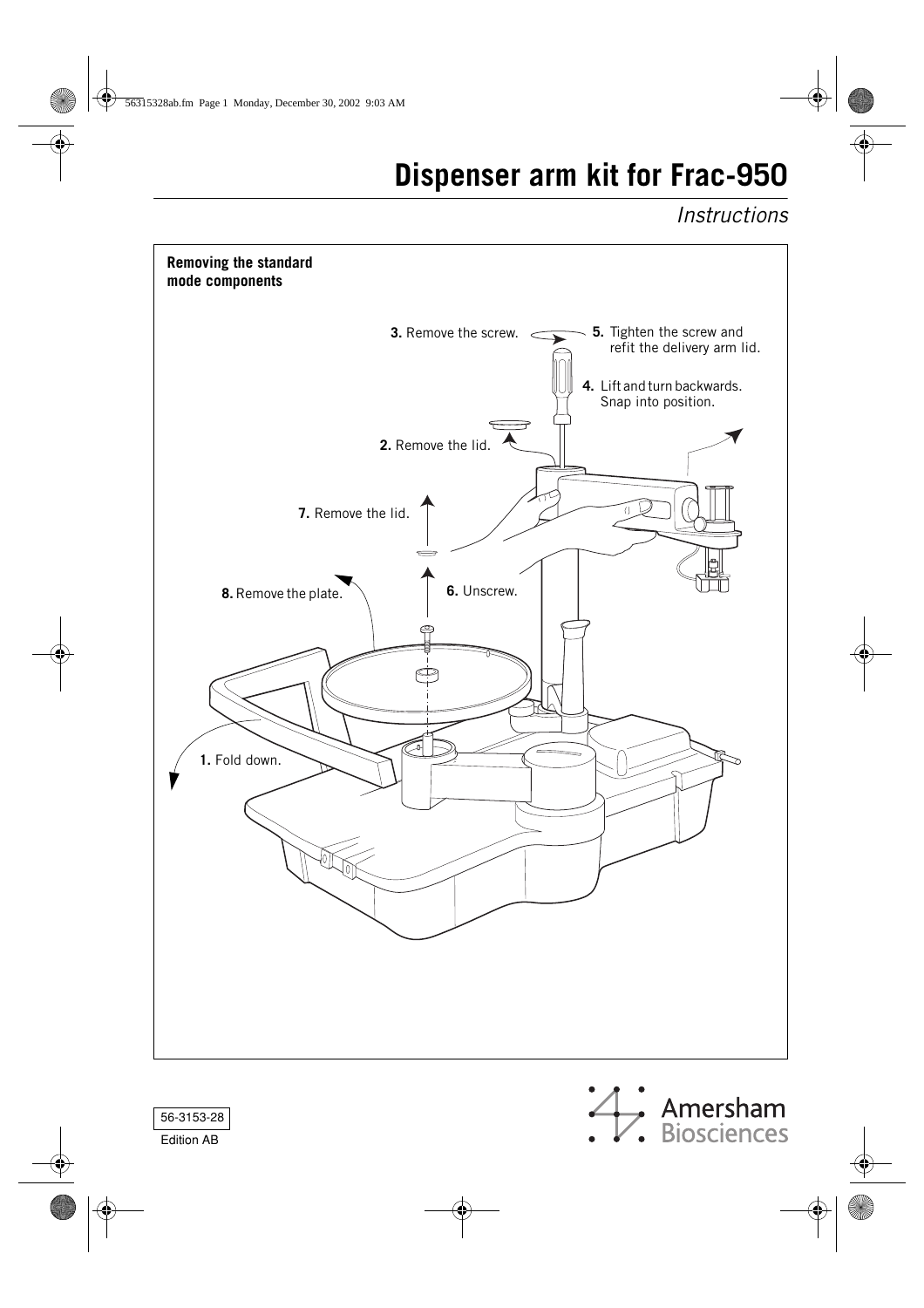# **Dispenser arm kit for Frac-950**

*Instructions*





Edition AB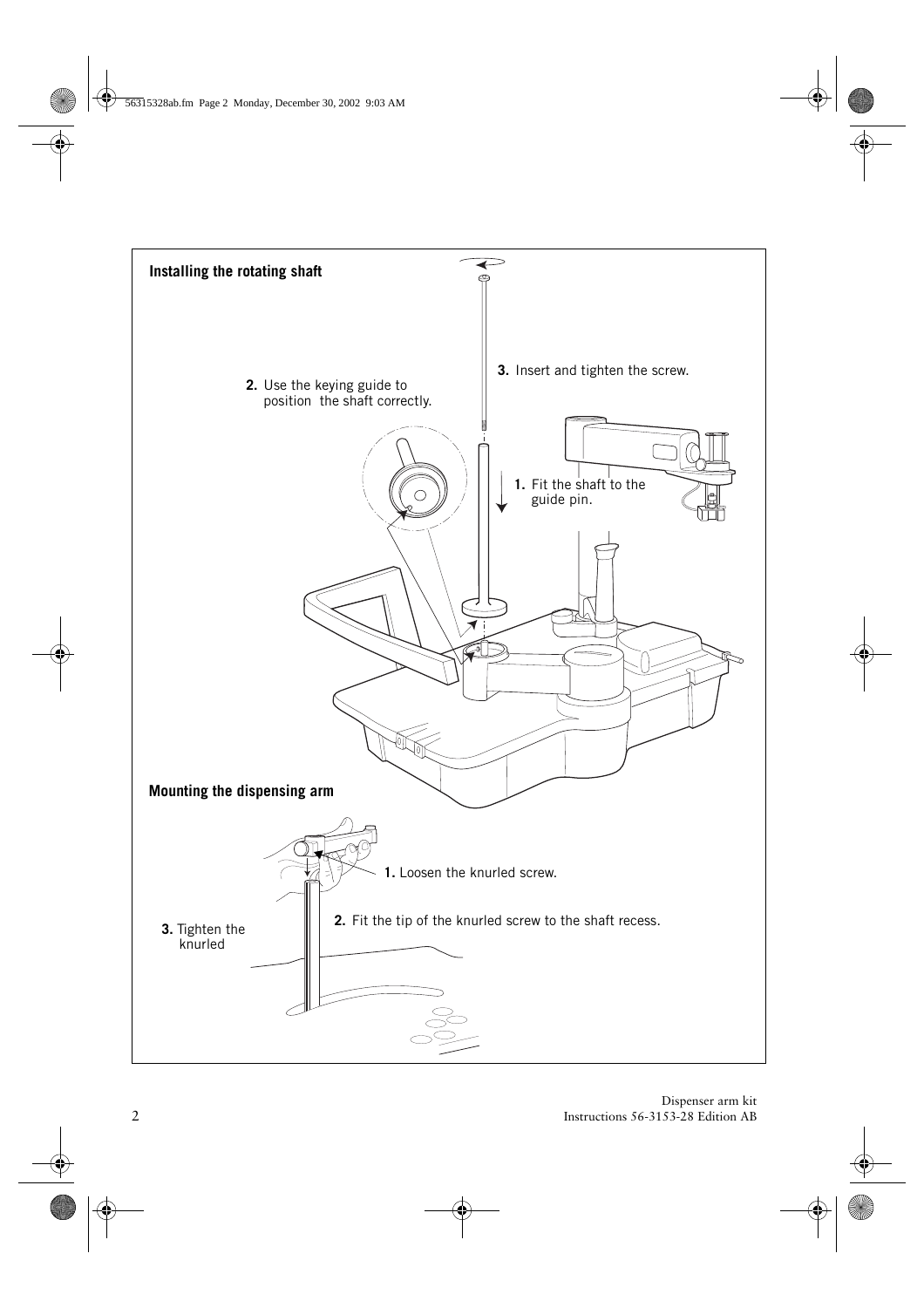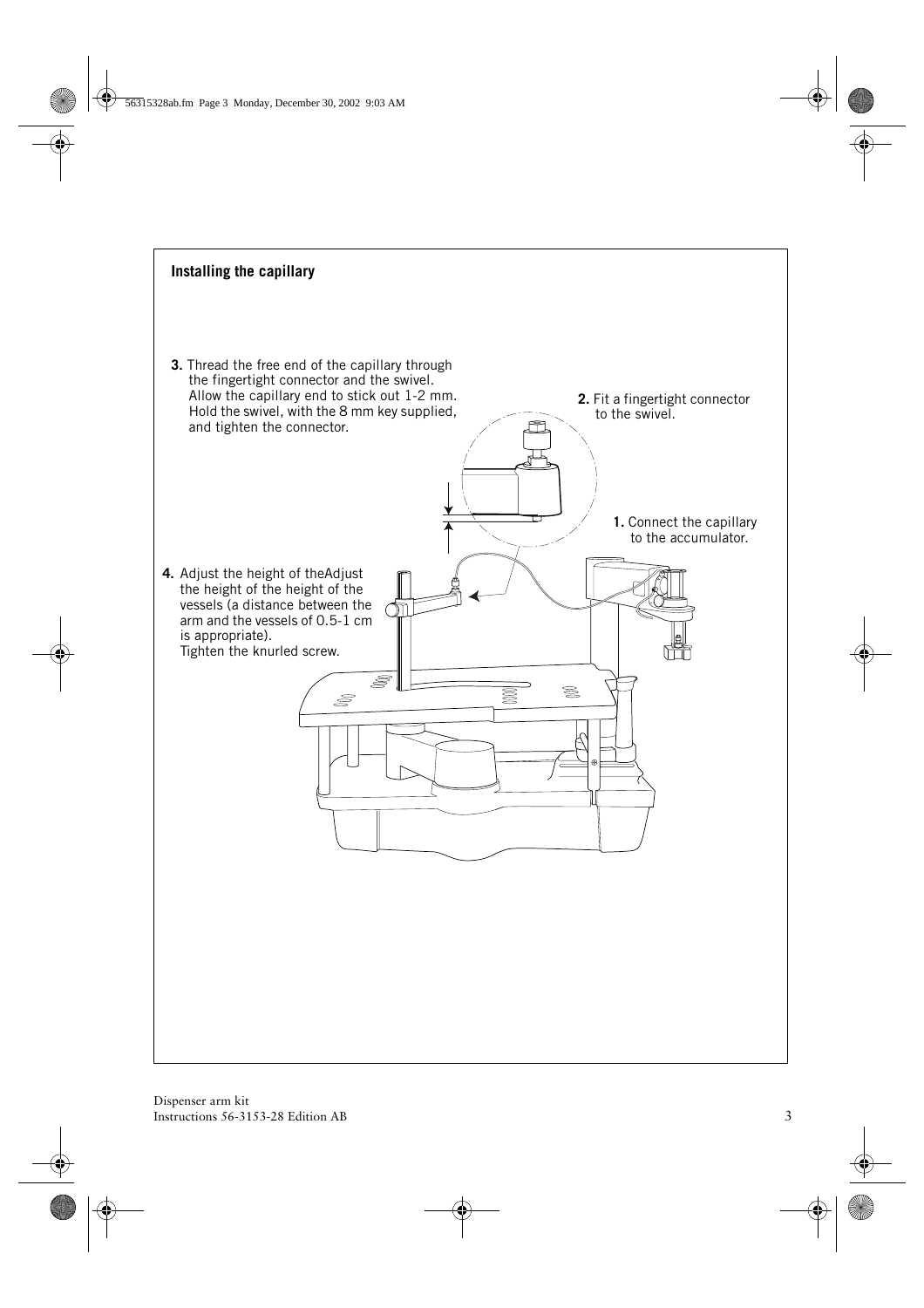